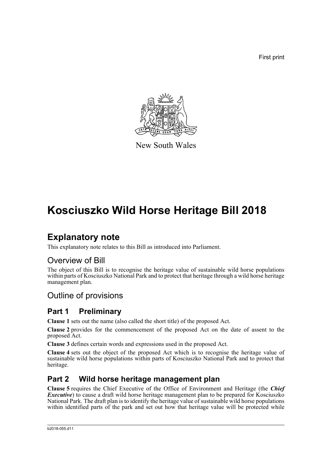First print



New South Wales

# **Kosciuszko Wild Horse Heritage Bill 2018**

# **Explanatory note**

This explanatory note relates to this Bill as introduced into Parliament.

## Overview of Bill

The object of this Bill is to recognise the heritage value of sustainable wild horse populations within parts of Kosciuszko National Park and to protect that heritage through a wild horse heritage management plan.

## Outline of provisions

## **Part 1 Preliminary**

**Clause 1** sets out the name (also called the short title) of the proposed Act.

**Clause 2** provides for the commencement of the proposed Act on the date of assent to the proposed Act.

**Clause 3** defines certain words and expressions used in the proposed Act.

**Clause 4** sets out the object of the proposed Act which is to recognise the heritage value of sustainable wild horse populations within parts of Kosciuszko National Park and to protect that heritage.

## **Part 2 Wild horse heritage management plan**

**Clause 5** requires the Chief Executive of the Office of Environment and Heritage (the *Chief Executive*) to cause a draft wild horse heritage management plan to be prepared for Kosciuszko National Park. The draft plan is to identify the heritage value of sustainable wild horse populations within identified parts of the park and set out how that heritage value will be protected while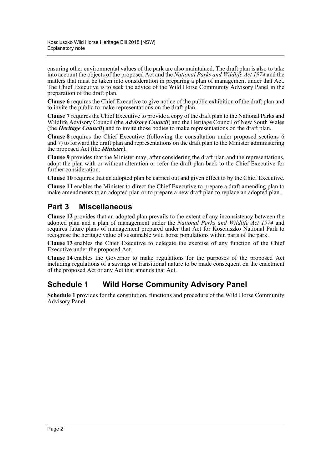ensuring other environmental values of the park are also maintained. The draft plan is also to take into account the objects of the proposed Act and the *National Parks and Wildlife Act 1974* and the matters that must be taken into consideration in preparing a plan of management under that Act. The Chief Executive is to seek the advice of the Wild Horse Community Advisory Panel in the preparation of the draft plan.

**Clause 6** requires the Chief Executive to give notice of the public exhibition of the draft plan and to invite the public to make representations on the draft plan.

**Clause 7** requires the Chief Executive to provide a copy of the draft plan to the National Parks and Wildlife Advisory Council (the *Advisory Council*) and the Heritage Council of New South Wales (the *Heritage Council*) and to invite those bodies to make representations on the draft plan.

**Clause 8** requires the Chief Executive (following the consultation under proposed sections 6 and 7) to forward the draft plan and representations on the draft plan to the Minister administering the proposed Act (the *Minister*).

**Clause 9** provides that the Minister may, after considering the draft plan and the representations, adopt the plan with or without alteration or refer the draft plan back to the Chief Executive for further consideration.

**Clause 10** requires that an adopted plan be carried out and given effect to by the Chief Executive.

**Clause 11** enables the Minister to direct the Chief Executive to prepare a draft amending plan to make amendments to an adopted plan or to prepare a new draft plan to replace an adopted plan.

### **Part 3 Miscellaneous**

**Clause 12** provides that an adopted plan prevails to the extent of any inconsistency between the adopted plan and a plan of management under the *National Parks and Wildlife Act 1974* and requires future plans of management prepared under that Act for Kosciuszko National Park to recognise the heritage value of sustainable wild horse populations within parts of the park.

**Clause 13** enables the Chief Executive to delegate the exercise of any function of the Chief Executive under the proposed Act.

**Clause 14** enables the Governor to make regulations for the purposes of the proposed Act including regulations of a savings or transitional nature to be made consequent on the enactment of the proposed Act or any Act that amends that Act.

### **Schedule 1 Wild Horse Community Advisory Panel**

**Schedule 1** provides for the constitution, functions and procedure of the Wild Horse Community Advisory Panel.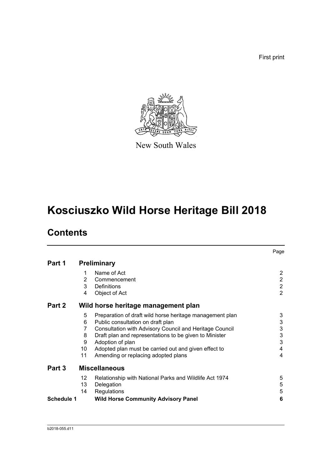First print



New South Wales

# **Kosciuszko Wild Horse Heritage Bill 2018**

# **Contents**

|                   |    |                                                          | Page           |
|-------------------|----|----------------------------------------------------------|----------------|
| Part 1            |    | <b>Preliminary</b>                                       |                |
|                   | 1  | Name of Act                                              | 2              |
|                   | 2  | Commencement                                             | $\overline{2}$ |
|                   | 3  | Definitions                                              | $\overline{2}$ |
|                   | 4  | Object of Act                                            | $\overline{2}$ |
| Part 2            |    | Wild horse heritage management plan                      |                |
|                   | 5  | Preparation of draft wild horse heritage management plan | 3              |
|                   | 6  | Public consultation on draft plan                        | 3              |
|                   | 7  | Consultation with Advisory Council and Heritage Council  | 3              |
|                   | 8  | Draft plan and representations to be given to Minister   | 3              |
|                   | 9  | Adoption of plan                                         | 3              |
|                   | 10 | Adopted plan must be carried out and given effect to     | 4              |
|                   | 11 | Amending or replacing adopted plans                      | 4              |
| Part 3            |    | <b>Miscellaneous</b>                                     |                |
|                   | 12 | Relationship with National Parks and Wildlife Act 1974   | 5              |
|                   | 13 | Delegation                                               | 5              |
|                   | 14 | Regulations                                              | $\sqrt{5}$     |
| <b>Schedule 1</b> |    | <b>Wild Horse Community Advisory Panel</b>               | 6              |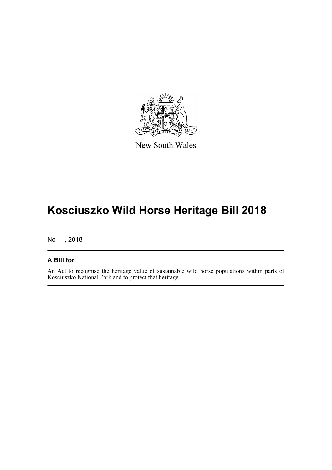

New South Wales

# **Kosciuszko Wild Horse Heritage Bill 2018**

No , 2018

### **A Bill for**

An Act to recognise the heritage value of sustainable wild horse populations within parts of Kosciuszko National Park and to protect that heritage.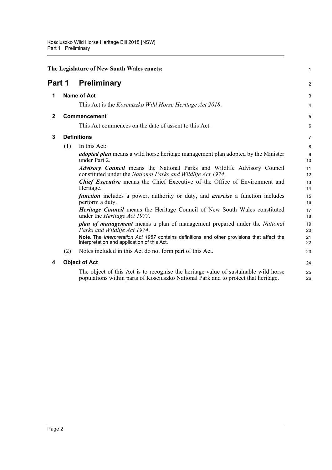<span id="page-4-4"></span><span id="page-4-3"></span><span id="page-4-2"></span><span id="page-4-1"></span><span id="page-4-0"></span>

| The Legislature of New South Wales enacts: |     |                                                                                                                                                                           | 1        |
|--------------------------------------------|-----|---------------------------------------------------------------------------------------------------------------------------------------------------------------------------|----------|
| Part 1                                     |     | <b>Preliminary</b>                                                                                                                                                        | 2        |
| 1                                          |     | <b>Name of Act</b>                                                                                                                                                        | 3        |
|                                            |     | This Act is the <i>Kosciuszko Wild Horse Heritage Act 2018</i> .                                                                                                          | 4        |
| $\mathbf{2}$                               |     | Commencement                                                                                                                                                              | 5        |
|                                            |     | This Act commences on the date of assent to this Act.                                                                                                                     | 6        |
| 3                                          |     | <b>Definitions</b>                                                                                                                                                        | 7        |
|                                            | (1) | In this Act:                                                                                                                                                              | 8        |
|                                            |     | <i>adopted plan</i> means a wild horse heritage management plan adopted by the Minister<br>under Part 2.                                                                  | 9<br>10  |
|                                            |     | <i>Advisory Council</i> means the National Parks and Wildlife Advisory Council<br>constituted under the National Parks and Wildlife Act 1974.                             | 11<br>12 |
|                                            |     | <b>Chief Executive</b> means the Chief Executive of the Office of Environment and<br>Heritage.                                                                            | 13<br>14 |
|                                            |     | <i>function</i> includes a power, authority or duty, and <i>exercise</i> a function includes<br>perform a duty.                                                           | 15<br>16 |
|                                            |     | <b>Heritage Council</b> means the Heritage Council of New South Wales constituted<br>under the <i>Heritage Act 1977</i> .                                                 | 17<br>18 |
|                                            |     | <i>plan of management</i> means a plan of management prepared under the <i>National</i><br>Parks and Wildlife Act 1974.                                                   | 19<br>20 |
|                                            |     | Note. The Interpretation Act 1987 contains definitions and other provisions that affect the<br>interpretation and application of this Act.                                | 21<br>22 |
|                                            | (2) | Notes included in this Act do not form part of this Act.                                                                                                                  | 23       |
| 4                                          |     | <b>Object of Act</b>                                                                                                                                                      | 24       |
|                                            |     | The object of this Act is to recognise the heritage value of sustainable wild horse<br>populations within parts of Kosciuszko National Park and to protect that heritage. | 25<br>26 |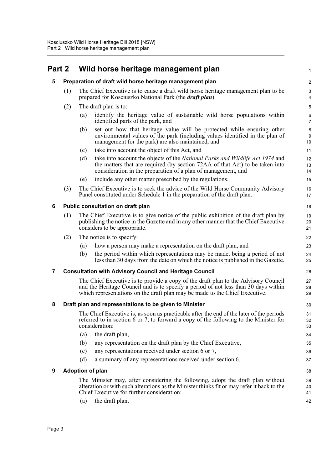## <span id="page-5-1"></span><span id="page-5-0"></span>**Part 2 Wild horse heritage management plan**

<span id="page-5-5"></span><span id="page-5-4"></span><span id="page-5-3"></span><span id="page-5-2"></span>

|   | art 2                                                          | Wild horse heritage management plan                                                                                                                                                                                                                      | 1                            |  |  |  |
|---|----------------------------------------------------------------|----------------------------------------------------------------------------------------------------------------------------------------------------------------------------------------------------------------------------------------------------------|------------------------------|--|--|--|
| 5 |                                                                | Preparation of draft wild horse heritage management plan                                                                                                                                                                                                 |                              |  |  |  |
|   | (1)                                                            | The Chief Executive is to cause a draft wild horse heritage management plan to be<br>prepared for Kosciuszko National Park (the <i>draft plan</i> ).                                                                                                     | 3<br>$\overline{\mathbf{4}}$ |  |  |  |
|   | (2)                                                            | The draft plan is to:                                                                                                                                                                                                                                    | $\mathbf 5$                  |  |  |  |
|   |                                                                | identify the heritage value of sustainable wild horse populations within<br>(a)<br>identified parts of the park, and                                                                                                                                     | $\,6$<br>$\overline{7}$      |  |  |  |
|   |                                                                | set out how that heritage value will be protected while ensuring other<br>(b)<br>environmental values of the park (including values identified in the plan of<br>management for the park) are also maintained, and                                       | 8<br>$\boldsymbol{9}$<br>10  |  |  |  |
|   |                                                                | take into account the object of this Act, and<br>(c)                                                                                                                                                                                                     | 11                           |  |  |  |
|   |                                                                | (d)<br>take into account the objects of the National Parks and Wildlife Act 1974 and<br>the matters that are required (by section 72AA of that Act) to be taken into<br>consideration in the preparation of a plan of management, and                    | 12<br>13<br>14               |  |  |  |
|   |                                                                | include any other matter prescribed by the regulations.<br>(e)                                                                                                                                                                                           | 15                           |  |  |  |
|   | (3)                                                            | The Chief Executive is to seek the advice of the Wild Horse Community Advisory<br>Panel constituted under Schedule 1 in the preparation of the draft plan.                                                                                               | 16<br>17                     |  |  |  |
| 6 | Public consultation on draft plan<br>18                        |                                                                                                                                                                                                                                                          |                              |  |  |  |
|   | (1)                                                            | The Chief Executive is to give notice of the public exhibition of the draft plan by<br>publishing the notice in the Gazette and in any other manner that the Chief Executive<br>considers to be appropriate.                                             | 19<br>20<br>21               |  |  |  |
|   | (2)                                                            | The notice is to specify:                                                                                                                                                                                                                                | 22                           |  |  |  |
|   |                                                                | how a person may make a representation on the draft plan, and<br>(a)                                                                                                                                                                                     | 23                           |  |  |  |
|   |                                                                | the period within which representations may be made, being a period of not<br>(b)<br>less than 30 days from the date on which the notice is published in the Gazette.                                                                                    | 24<br>25                     |  |  |  |
| 7 | <b>Consultation with Advisory Council and Heritage Council</b> |                                                                                                                                                                                                                                                          |                              |  |  |  |
|   |                                                                | The Chief Executive is to provide a copy of the draft plan to the Advisory Council<br>and the Heritage Council and is to specify a period of not less than 30 days within<br>which representations on the draft plan may be made to the Chief Executive. | 27<br>28<br>29               |  |  |  |
| 8 |                                                                | Draft plan and representations to be given to Minister                                                                                                                                                                                                   | 30                           |  |  |  |
|   |                                                                | The Chief Executive is, as soon as practicable after the end of the later of the periods<br>referred to in section 6 or 7, to forward a copy of the following to the Minister for<br>consideration:                                                      | 31<br>32<br>33               |  |  |  |
|   |                                                                | (a)<br>the draft plan,                                                                                                                                                                                                                                   | 34                           |  |  |  |
|   |                                                                | any representation on the draft plan by the Chief Executive,<br>(b)                                                                                                                                                                                      | 35                           |  |  |  |
|   |                                                                | any representations received under section 6 or 7,<br>(c)                                                                                                                                                                                                | 36                           |  |  |  |
|   |                                                                | a summary of any representations received under section 6.<br>(d)                                                                                                                                                                                        | 37                           |  |  |  |
| 9 |                                                                | <b>Adoption of plan</b>                                                                                                                                                                                                                                  | 38                           |  |  |  |
|   |                                                                | The Minister may, after considering the following, adopt the draft plan without<br>alteration or with such alterations as the Minister thinks fit or may refer it back to the<br>Chief Executive for further consideration:                              | 39<br>40<br>41               |  |  |  |
|   |                                                                | the draft plan,<br>(a)                                                                                                                                                                                                                                   | 42                           |  |  |  |
|   |                                                                |                                                                                                                                                                                                                                                          |                              |  |  |  |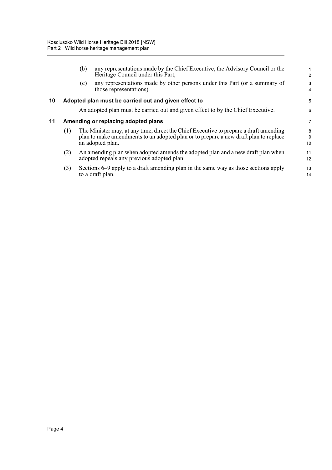<span id="page-6-1"></span><span id="page-6-0"></span>

|    |     | (b) | any representations made by the Chief Executive, the Advisory Council or the<br>Heritage Council under this Part,                                                                                 | $\overline{2}$ |
|----|-----|-----|---------------------------------------------------------------------------------------------------------------------------------------------------------------------------------------------------|----------------|
|    |     | (c) | any representations made by other persons under this Part (or a summary of<br>those representations).                                                                                             | 3<br>4         |
| 10 |     |     | Adopted plan must be carried out and given effect to                                                                                                                                              | 5              |
|    |     |     | An adopted plan must be carried out and given effect to by the Chief Executive.                                                                                                                   | 6              |
| 11 |     |     | Amending or replacing adopted plans                                                                                                                                                               | 7              |
|    | (1) |     | The Minister may, at any time, direct the Chief Executive to prepare a draft amending<br>plan to make amendments to an adopted plan or to prepare a new draft plan to replace<br>an adopted plan. | 8<br>9<br>10   |
|    | (2) |     | An amending plan when adopted amends the adopted plan and a new draft plan when<br>adopted repeals any previous adopted plan.                                                                     | 11<br>12       |
|    | (3) |     | Sections 6–9 apply to a draft amending plan in the same way as those sections apply<br>to a draft plan.                                                                                           | 13<br>14       |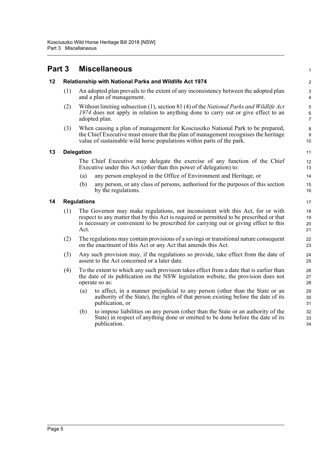<span id="page-7-3"></span><span id="page-7-2"></span><span id="page-7-1"></span><span id="page-7-0"></span>

| Part 3 |                    | <b>Miscellaneous</b>                                                                                                                                                                                                                                                        | $\mathbf{1}$                             |
|--------|--------------------|-----------------------------------------------------------------------------------------------------------------------------------------------------------------------------------------------------------------------------------------------------------------------------|------------------------------------------|
| 12     |                    | Relationship with National Parks and Wildlife Act 1974                                                                                                                                                                                                                      | $\overline{c}$                           |
|        | (1)                | An adopted plan prevails to the extent of any inconsistency between the adopted plan<br>and a plan of management.                                                                                                                                                           | 3<br>4                                   |
|        | (2)                | Without limiting subsection (1), section 81 (4) of the National Parks and Wildlife Act<br>1974 does not apply in relation to anything done to carry out or give effect to an<br>adopted plan.                                                                               | $\,$ 5 $\,$<br>$\,6\,$<br>$\overline{7}$ |
|        | (3)                | When causing a plan of management for Kosciuszko National Park to be prepared,<br>the Chief Executive must ensure that the plan of management recognises the heritage<br>value of sustainable wild horse populations within parts of the park.                              | $\bf 8$<br>$\boldsymbol{9}$<br>10        |
| 13     | <b>Delegation</b>  |                                                                                                                                                                                                                                                                             |                                          |
|        |                    | The Chief Executive may delegate the exercise of any function of the Chief<br>Executive under this Act (other than this power of delegation) to:                                                                                                                            | 12<br>13                                 |
|        |                    | any person employed in the Office of Environment and Heritage, or<br>(a)                                                                                                                                                                                                    | 14                                       |
|        |                    | (b)<br>any person, or any class of persons, authorised for the purposes of this section<br>by the regulations.                                                                                                                                                              | 15<br>16                                 |
| 14     | <b>Regulations</b> |                                                                                                                                                                                                                                                                             |                                          |
|        | (1)                | The Governor may make regulations, not inconsistent with this Act, for or with<br>respect to any matter that by this Act is required or permitted to be prescribed or that<br>is necessary or convenient to be prescribed for carrying out or giving effect to this<br>Act. | 18<br>19<br>20<br>21                     |
|        | (2)                | The regulations may contain provisions of a savings or transitional nature consequent<br>on the enactment of this Act or any Act that amends this Act.                                                                                                                      | 22<br>23                                 |
|        | (3)                | Any such provision may, if the regulations so provide, take effect from the date of<br>assent to the Act concerned or a later date.                                                                                                                                         | 24<br>25                                 |
|        | (4)                | To the extent to which any such provision takes effect from a date that is earlier than<br>the date of its publication on the NSW legislation website, the provision does not<br>operate so as:                                                                             | 26<br>27<br>28                           |
|        |                    | to affect, in a manner prejudicial to any person (other than the State or an<br>(a)<br>authority of the State), the rights of that person existing before the date of its<br>publication, or                                                                                | 29<br>30<br>31                           |
|        |                    | to impose liabilities on any person (other than the State or an authority of the<br>(b)<br>State) in respect of anything done or omitted to be done before the date of its<br>publication.                                                                                  | 32<br>33<br>34                           |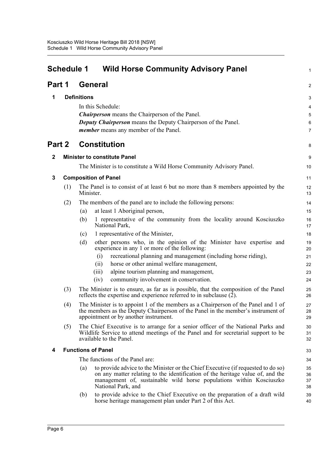<span id="page-8-0"></span>

| <b>Schedule 1</b><br><b>Wild Horse Community Advisory Panel</b> |     |                                                                                                                                                                                                                                                                        | 1                     |
|-----------------------------------------------------------------|-----|------------------------------------------------------------------------------------------------------------------------------------------------------------------------------------------------------------------------------------------------------------------------|-----------------------|
| Part 1                                                          |     | <b>General</b>                                                                                                                                                                                                                                                         | 2                     |
| 1                                                               |     | <b>Definitions</b>                                                                                                                                                                                                                                                     | 3                     |
|                                                                 |     | In this Schedule:                                                                                                                                                                                                                                                      | 4                     |
|                                                                 |     | <b>Chairperson</b> means the Chairperson of the Panel.                                                                                                                                                                                                                 | 5                     |
|                                                                 |     | <b>Deputy Chairperson</b> means the Deputy Chairperson of the Panel.<br>member means any member of the Panel.                                                                                                                                                          | 6<br>$\boldsymbol{7}$ |
| Part 2                                                          |     | <b>Constitution</b>                                                                                                                                                                                                                                                    | 8                     |
| $\mathbf{2}$                                                    |     | <b>Minister to constitute Panel</b>                                                                                                                                                                                                                                    | $\boldsymbol{9}$      |
|                                                                 |     | The Minister is to constitute a Wild Horse Community Advisory Panel.                                                                                                                                                                                                   | 10                    |
| 3                                                               |     | <b>Composition of Panel</b>                                                                                                                                                                                                                                            | 11                    |
|                                                                 | (1) | The Panel is to consist of at least 6 but no more than 8 members appointed by the<br>Minister.                                                                                                                                                                         | 12<br>13              |
|                                                                 | (2) | The members of the panel are to include the following persons:                                                                                                                                                                                                         | 14                    |
|                                                                 |     | at least 1 Aboriginal person,<br>(a)                                                                                                                                                                                                                                   | 15                    |
|                                                                 |     | 1 representative of the community from the locality around Kosciuszko<br>(b)<br>National Park,                                                                                                                                                                         | 16<br>17              |
|                                                                 |     | 1 representative of the Minister,<br>(c)                                                                                                                                                                                                                               | 18                    |
|                                                                 |     | other persons who, in the opinion of the Minister have expertise and<br>(d)<br>experience in any 1 or more of the following:                                                                                                                                           | 19<br>20              |
|                                                                 |     | recreational planning and management (including horse riding),<br>(i)                                                                                                                                                                                                  | 21                    |
|                                                                 |     | horse or other animal welfare management,<br>(i)                                                                                                                                                                                                                       | 22                    |
|                                                                 |     | alpine tourism planning and management,<br>(iii)<br>community involvement in conservation.<br>(iv)                                                                                                                                                                     | 23<br>24              |
|                                                                 | (3) | The Minister is to ensure, as far as is possible, that the composition of the Panel<br>reflects the expertise and experience referred to in subclause $(2)$ .                                                                                                          | 25<br>26              |
|                                                                 | (4) | The Minister is to appoint 1 of the members as a Chairperson of the Panel and 1 of<br>the members as the Deputy Chairperson of the Panel in the member's instrument of<br>appointment or by another instrument.                                                        | 27<br>28<br>29        |
|                                                                 | (5) | The Chief Executive is to arrange for a senior officer of the National Parks and<br>Wildlife Service to attend meetings of the Panel and for secretarial support to be<br>available to the Panel.                                                                      | 30<br>31<br>32        |
| 4                                                               |     | <b>Functions of Panel</b>                                                                                                                                                                                                                                              | 33                    |
|                                                                 |     | The functions of the Panel are:                                                                                                                                                                                                                                        | 34                    |
|                                                                 |     | to provide advice to the Minister or the Chief Executive (if requested to do so)<br>(a)<br>on any matter relating to the identification of the heritage value of, and the<br>management of, sustainable wild horse populations within Kosciuszko<br>National Park, and | 35<br>36<br>37<br>38  |
|                                                                 |     | to provide advice to the Chief Executive on the preparation of a draft wild<br>(b)<br>horse heritage management plan under Part 2 of this Act.                                                                                                                         | 39<br>40              |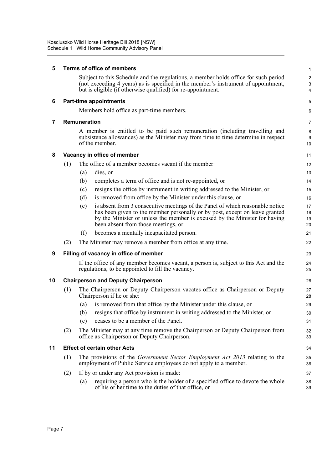| 5  |     | <b>Terms of office of members</b>                                                                                                                                                                                                                                                        | 1                                 |
|----|-----|------------------------------------------------------------------------------------------------------------------------------------------------------------------------------------------------------------------------------------------------------------------------------------------|-----------------------------------|
|    |     | Subject to this Schedule and the regulations, a member holds office for such period<br>(not exceeding 4 years) as is specified in the member's instrument of appointment,<br>but is eligible (if otherwise qualified) for re-appointment.                                                | $\overline{\mathbf{c}}$<br>3<br>4 |
| 6  |     | <b>Part-time appointments</b>                                                                                                                                                                                                                                                            | 5                                 |
|    |     | Members hold office as part-time members.                                                                                                                                                                                                                                                | 6                                 |
| 7  |     | Remuneration                                                                                                                                                                                                                                                                             | 7                                 |
|    |     | A member is entitled to be paid such remuneration (including travelling and<br>subsistence allowances) as the Minister may from time to time determine in respect<br>of the member.                                                                                                      | 8<br>9<br>10                      |
| 8  |     | Vacancy in office of member                                                                                                                                                                                                                                                              | 11                                |
|    | (1) | The office of a member becomes vacant if the member:                                                                                                                                                                                                                                     | 12                                |
|    |     | (a)<br>dies, or                                                                                                                                                                                                                                                                          | 13                                |
|    |     | completes a term of office and is not re-appointed, or<br>(b)                                                                                                                                                                                                                            | 14                                |
|    |     | resigns the office by instrument in writing addressed to the Minister, or<br>(c)                                                                                                                                                                                                         | 15                                |
|    |     | is removed from office by the Minister under this clause, or<br>(d)                                                                                                                                                                                                                      | 16                                |
|    |     | is absent from 3 consecutive meetings of the Panel of which reasonable notice<br>(e)<br>has been given to the member personally or by post, except on leave granted<br>by the Minister or unless the member is excused by the Minister for having<br>been absent from those meetings, or | 17<br>18<br>19<br>20              |
|    |     | (f)<br>becomes a mentally incapacitated person.                                                                                                                                                                                                                                          | 21                                |
|    | (2) | The Minister may remove a member from office at any time.                                                                                                                                                                                                                                | 22                                |
| 9  |     | Filling of vacancy in office of member                                                                                                                                                                                                                                                   | 23                                |
|    |     | If the office of any member becomes vacant, a person is, subject to this Act and the<br>regulations, to be appointed to fill the vacancy.                                                                                                                                                | 24<br>25                          |
| 10 |     | <b>Chairperson and Deputy Chairperson</b>                                                                                                                                                                                                                                                | 26                                |
|    | (1) | The Chairperson or Deputy Chairperson vacates office as Chairperson or Deputy<br>Chairperson if he or she:                                                                                                                                                                               | 27<br>28                          |
|    |     | is removed from that office by the Minister under this clause, or<br>(a)                                                                                                                                                                                                                 | 29                                |
|    |     | resigns that office by instrument in writing addressed to the Minister, or<br>(b)                                                                                                                                                                                                        | 30                                |
|    |     | ceases to be a member of the Panel.<br>(c)                                                                                                                                                                                                                                               | 31                                |
|    | (2) | The Minister may at any time remove the Chairperson or Deputy Chairperson from<br>office as Chairperson or Deputy Chairperson.                                                                                                                                                           | 32<br>33                          |
| 11 |     | <b>Effect of certain other Acts</b>                                                                                                                                                                                                                                                      | 34                                |
|    | (1) | The provisions of the <i>Government Sector Employment Act 2013</i> relating to the<br>employment of Public Service employees do not apply to a member.                                                                                                                                   | 35<br>36                          |
|    | (2) | If by or under any Act provision is made:                                                                                                                                                                                                                                                | 37                                |
|    |     | requiring a person who is the holder of a specified office to devote the whole<br>$\left( a\right)$<br>of his or her time to the duties of that office, or                                                                                                                               | 38<br>39                          |
|    |     |                                                                                                                                                                                                                                                                                          |                                   |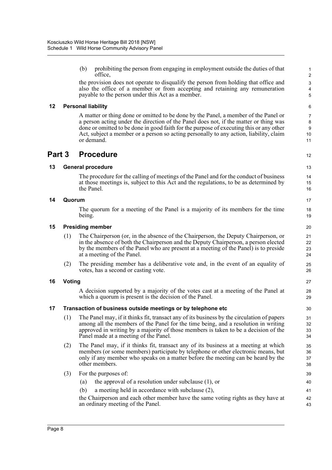(b) prohibiting the person from engaging in employment outside the duties of that office,

12

27 28 29

the provision does not operate to disqualify the person from holding that office and also the office of a member or from accepting and retaining any remuneration payable to the person under this Act as a member.

### **12 Personal liability**

A matter or thing done or omitted to be done by the Panel, a member of the Panel or a person acting under the direction of the Panel does not, if the matter or thing was done or omitted to be done in good faith for the purpose of executing this or any other Act, subject a member or a person so acting personally to any action, liability, claim or demand.

### **Part 3 Procedure**

### **13 General procedure**

The procedure for the calling of meetings of the Panel and for the conduct of business at those meetings is, subject to this Act and the regulations, to be as determined by the Panel.

### **14 Quorum**

The quorum for a meeting of the Panel is a majority of its members for the time being.

#### **15 Presiding member**

- (1) The Chairperson (or, in the absence of the Chairperson, the Deputy Chairperson, or in the absence of both the Chairperson and the Deputy Chairperson, a person elected by the members of the Panel who are present at a meeting of the Panel) is to preside at a meeting of the Panel.
- (2) The presiding member has a deliberative vote and, in the event of an equality of votes, has a second or casting vote.

### **16 Voting**

A decision supported by a majority of the votes cast at a meeting of the Panel at which a quorum is present is the decision of the Panel.

### **17 Transaction of business outside meetings or by telephone etc**

- (1) The Panel may, if it thinks fit, transact any of its business by the circulation of papers among all the members of the Panel for the time being, and a resolution in writing approved in writing by a majority of those members is taken to be a decision of the Panel made at a meeting of the Panel.
- (2) The Panel may, if it thinks fit, transact any of its business at a meeting at which members (or some members) participate by telephone or other electronic means, but only if any member who speaks on a matter before the meeting can be heard by the other members.
- (3) For the purposes of:
	- (a) the approval of a resolution under subclause (1), or
	- (b) a meeting held in accordance with subclause (2),

the Chairperson and each other member have the same voting rights as they have at an ordinary meeting of the Panel. 42 43